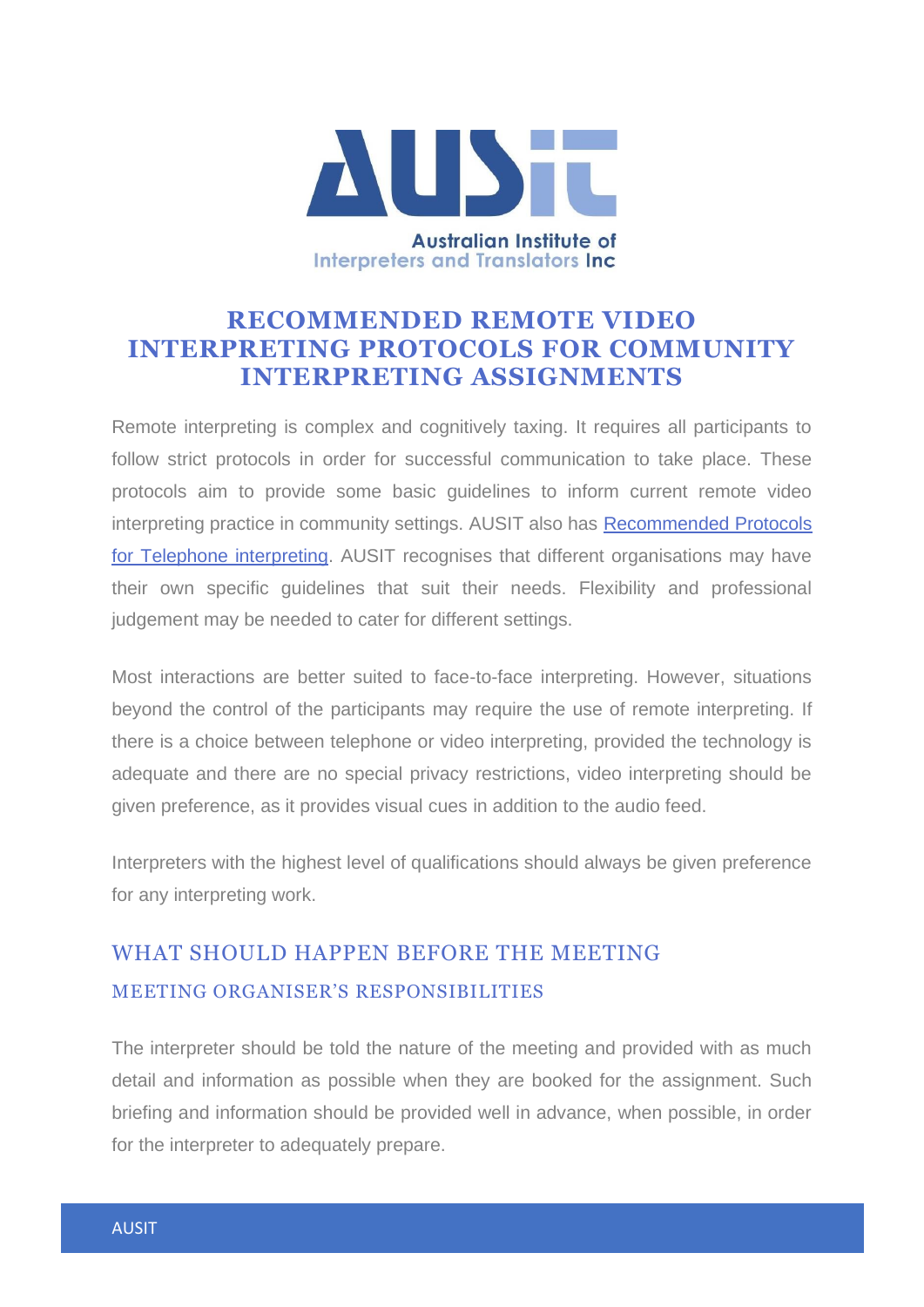

### **RECOMMENDED REMOTE VIDEO INTERPRETING PROTOCOLS FOR COMMUNITY INTERPRETING ASSIGNMENTS**

Remote interpreting is complex and cognitively taxing. It requires all participants to follow strict protocols in order for successful communication to take place. These protocols aim to provide some basic guidelines to inform current remote video interpreting practice in community settings. AUSIT also has [Recommended Protocols](http://files.ausit.org/web/docs/Telephone_Interpreting_Protocols.pdf)  [for Telephone interpreting.](http://files.ausit.org/web/docs/Telephone_Interpreting_Protocols.pdf) AUSIT recognises that different organisations may have their own specific guidelines that suit their needs. Flexibility and professional judgement may be needed to cater for different settings.

Most interactions are better suited to face-to-face interpreting. However, situations beyond the control of the participants may require the use of remote interpreting. If there is a choice between telephone or video interpreting, provided the technology is adequate and there are no special privacy restrictions, video interpreting should be given preference, as it provides visual cues in addition to the audio feed.

Interpreters with the highest level of qualifications should always be given preference for any interpreting work.

# WHAT SHOULD HAPPEN BEFORE THE MEETING MEETING ORGANISER'S RESPONSIBILITIES

The interpreter should be told the nature of the meeting and provided with as much detail and information as possible when they are booked for the assignment. Such briefing and information should be provided well in advance, when possible, in order for the interpreter to adequately prepare.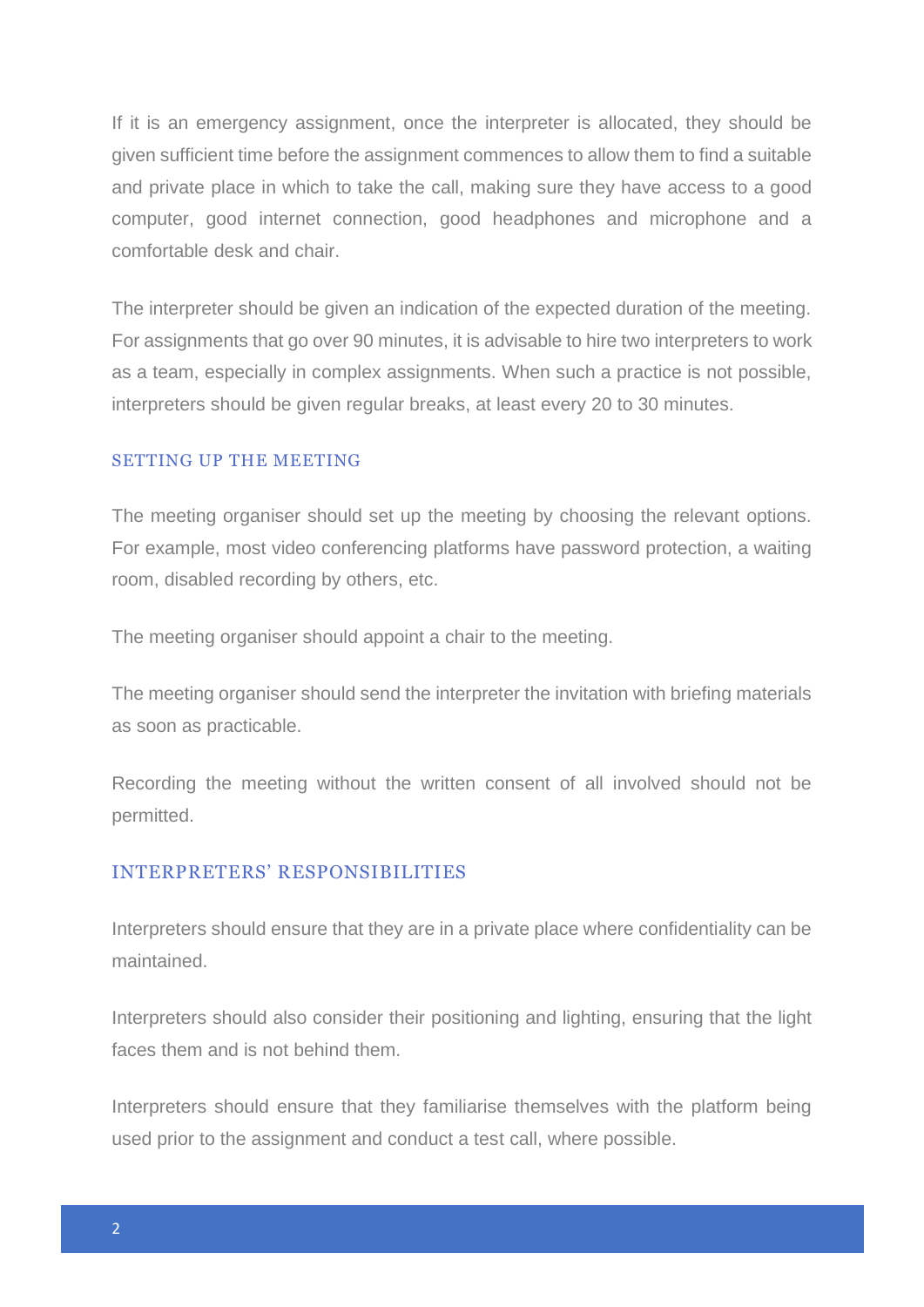If it is an emergency assignment, once the interpreter is allocated, they should be given sufficient time before the assignment commences to allow them to find a suitable and private place in which to take the call, making sure they have access to a good computer, good internet connection, good headphones and microphone and a comfortable desk and chair.

The interpreter should be given an indication of the expected duration of the meeting. For assignments that go over 90 minutes, it is advisable to hire two interpreters to work as a team, especially in complex assignments. When such a practice is not possible, interpreters should be given regular breaks, at least every 20 to 30 minutes.

#### SETTING UP THE MEETING

The meeting organiser should set up the meeting by choosing the relevant options. For example, most video conferencing platforms have password protection, a waiting room, disabled recording by others, etc.

The meeting organiser should appoint a chair to the meeting.

The meeting organiser should send the interpreter the invitation with briefing materials as soon as practicable.

Recording the meeting without the written consent of all involved should not be permitted.

#### INTERPRETERS' RESPONSIBILITIES

Interpreters should ensure that they are in a private place where confidentiality can be maintained.

Interpreters should also consider their positioning and lighting, ensuring that the light faces them and is not behind them.

Interpreters should ensure that they familiarise themselves with the platform being used prior to the assignment and conduct a test call, where possible.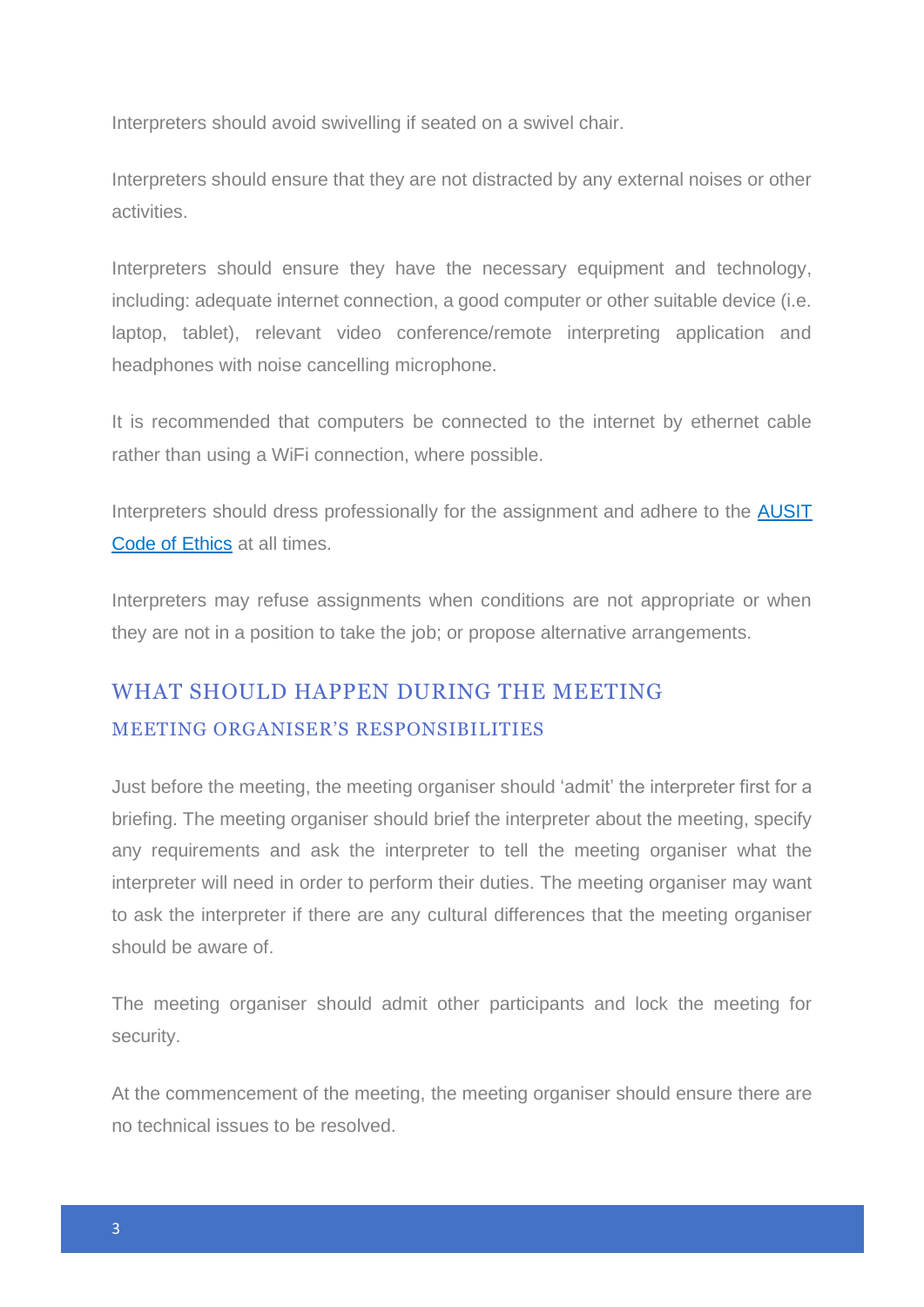Interpreters should avoid swivelling if seated on a swivel chair.

Interpreters should ensure that they are not distracted by any external noises or other activities.

Interpreters should ensure they have the necessary equipment and technology, including: adequate internet connection, a good computer or other suitable device (i.e. laptop, tablet), relevant video conference/remote interpreting application and headphones with noise cancelling microphone.

It is recommended that computers be connected to the internet by ethernet cable rather than using a WiFi connection, where possible.

Interpreters should dress professionally for the assignment and adhere to the **AUSIT** [Code of Ethics](https://ausit.org/wp-content/uploads/2020/02/Code_Of_Ethics_Full.pdf) at all times.

Interpreters may refuse assignments when conditions are not appropriate or when they are not in a position to take the job; or propose alternative arrangements.

# WHAT SHOULD HAPPEN DURING THE MEETING MEETING ORGANISER'S RESPONSIBILITIES

Just before the meeting, the meeting organiser should 'admit' the interpreter first for a briefing. The meeting organiser should brief the interpreter about the meeting, specify any requirements and ask the interpreter to tell the meeting organiser what the interpreter will need in order to perform their duties. The meeting organiser may want to ask the interpreter if there are any cultural differences that the meeting organiser should be aware of.

The meeting organiser should admit other participants and lock the meeting for security.

At the commencement of the meeting, the meeting organiser should ensure there are no technical issues to be resolved.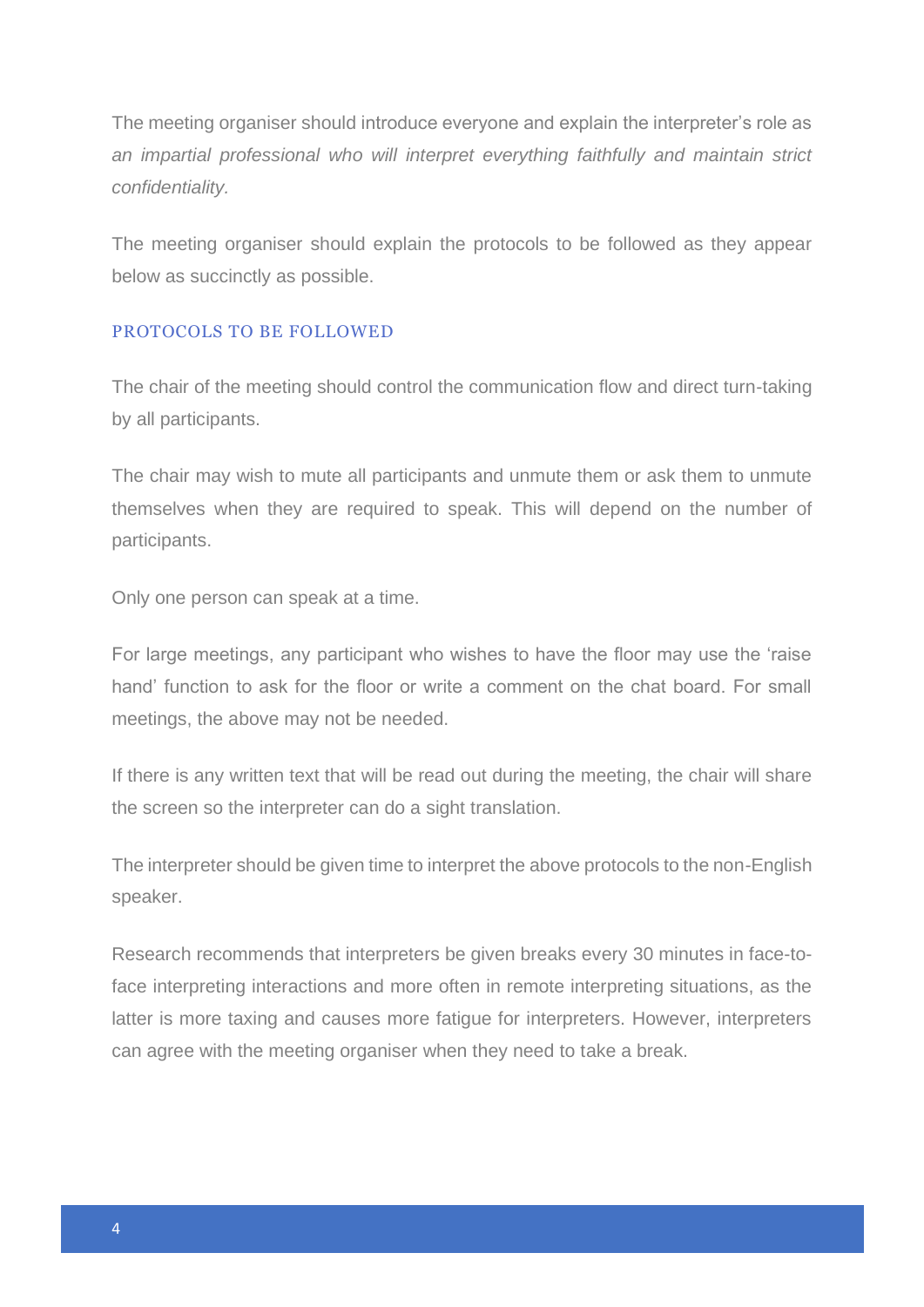The meeting organiser should introduce everyone and explain the interpreter's role as *an impartial professional who will interpret everything faithfully and maintain strict confidentiality.*

The meeting organiser should explain the protocols to be followed as they appear below as succinctly as possible.

### PROTOCOLS TO BE FOLLOWED

The chair of the meeting should control the communication flow and direct turn-taking by all participants.

The chair may wish to mute all participants and unmute them or ask them to unmute themselves when they are required to speak. This will depend on the number of participants.

Only one person can speak at a time.

For large meetings, any participant who wishes to have the floor may use the 'raise hand' function to ask for the floor or write a comment on the chat board. For small meetings, the above may not be needed.

If there is any written text that will be read out during the meeting, the chair will share the screen so the interpreter can do a sight translation.

The interpreter should be given time to interpret the above protocols to the non-English speaker.

Research recommends that interpreters be given breaks every 30 minutes in face-toface interpreting interactions and more often in remote interpreting situations, as the latter is more taxing and causes more fatigue for interpreters. However, interpreters can agree with the meeting organiser when they need to take a break.